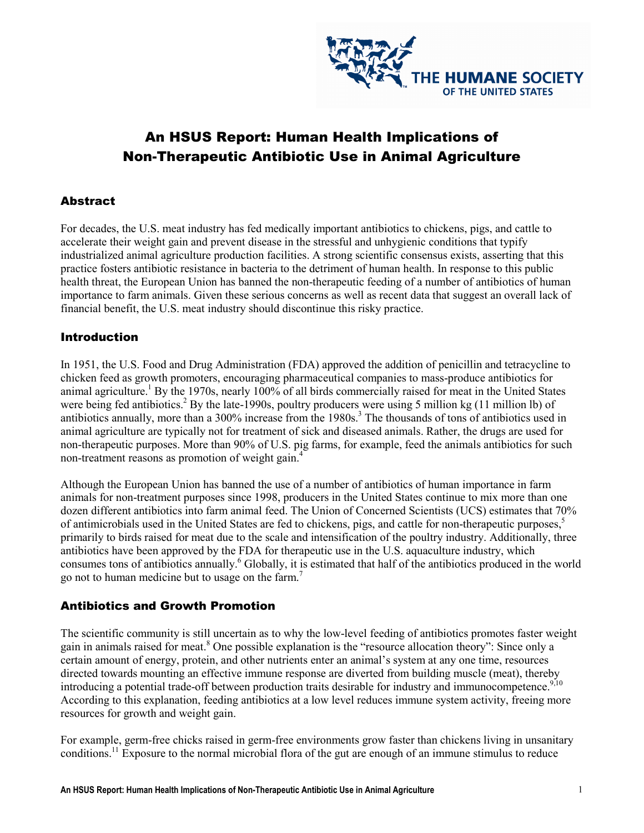

# An HSUS Report: Human Health Implications of Non-Therapeutic Antibiotic Use in Animal Agriculture

#### **Abstract**

For decades, the U.S. meat industry has fed medically important antibiotics to chickens, pigs, and cattle to accelerate their weight gain and prevent disease in the stressful and unhygienic conditions that typify industrialized animal agriculture production facilities. A strong scientific consensus exists, asserting that this practice fosters antibiotic resistance in bacteria to the detriment of human health. In response to this public health threat, the European Union has banned the non-therapeutic feeding of a number of antibiotics of human importance to farm animals. Given these serious concerns as well as recent data that suggest an overall lack of financial benefit, the U.S. meat industry should discontinue this risky practice.

#### Introduction

In 1951, the U.S. Food and Drug Administration (FDA) approved the addition of penicillin and tetracycline to chicken feed as growth promoters, encouraging pharmaceutical companies to mass-produce antibiotics for animal agriculture.<sup>1</sup> By the 1970s, nearly 100% of all birds commercially raised for meat in the United States were being fed antibiotics.<sup>2</sup> By the late-1990s, poultry producers were using 5 million kg (11 million lb) of antibiotics annually, more than a 300% increase from the 1980s.<sup>3</sup> The thousands of tons of antibiotics used in animal agriculture are typically not for treatment of sick and diseased animals. Rather, the drugs are used for non-therapeutic purposes. More than 90% of U.S. pig farms, for example, feed the animals antibiotics for such non-treatment reasons as promotion of weight gain.<sup>4</sup>

Although the European Union has banned the use of a number of antibiotics of human importance in farm animals for non-treatment purposes since 1998, producers in the United States continue to mix more than one dozen different antibiotics into farm animal feed. The Union of Concerned Scientists (UCS) estimates that 70% of antimicrobials used in the United States are fed to chickens, pigs, and cattle for non-therapeutic purposes,<sup>5</sup> primarily to birds raised for meat due to the scale and intensification of the poultry industry. Additionally, three antibiotics have been approved by the FDA for therapeutic use in the U.S. aquaculture industry, which consumes tons of antibiotics annually.<sup>6</sup> Globally, it is estimated that half of the antibiotics produced in the world go not to human medicine but to usage on the farm.<sup>7</sup>

#### Antibiotics and Growth Promotion

The scientific community is still uncertain as to why the low-level feeding of antibiotics promotes faster weight gain in animals raised for meat.<sup>8</sup> One possible explanation is the "resource allocation theory": Since only a certain amount of energy, protein, and other nutrients enter an animal's system at any one time, resources directed towards mounting an effective immune response are diverted from building muscle (meat), thereby introducing a potential trade-off between production traits desirable for industry and immunocompetence.<sup>9,10</sup> According to this explanation, feeding antibiotics at a low level reduces immune system activity, freeing more resources for growth and weight gain.

For example, germ-free chicks raised in germ-free environments grow faster than chickens living in unsanitary conditions.<sup>11</sup> Exposure to the normal microbial flora of the gut are enough of an immune stimulus to reduce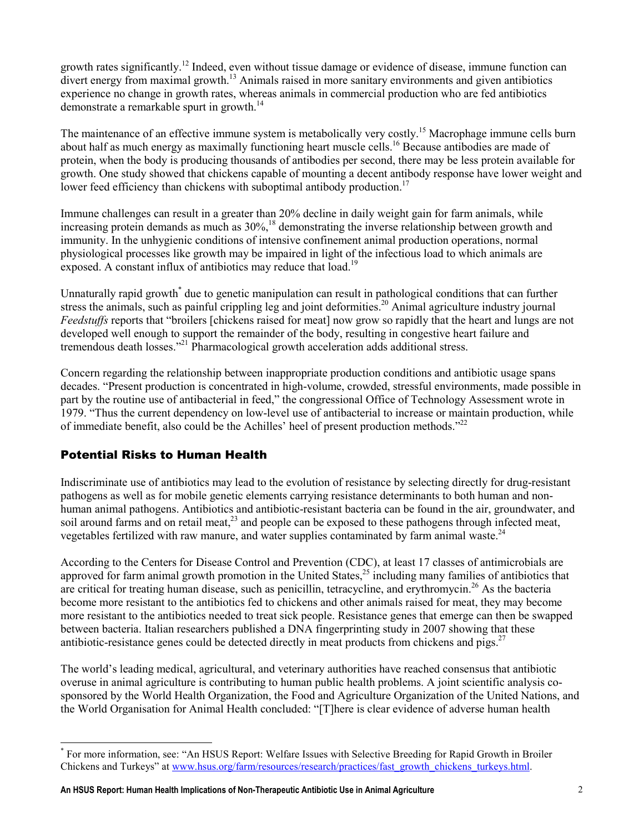growth rates significantly.<sup>12</sup> Indeed, even without tissue damage or evidence of disease, immune function can divert energy from maximal growth.<sup>13</sup> Animals raised in more sanitary environments and given antibiotics experience no change in growth rates, whereas animals in commercial production who are fed antibiotics demonstrate a remarkable spurt in growth.<sup>14</sup>

The maintenance of an effective immune system is metabolically very costly.<sup>15</sup> Macrophage immune cells burn about half as much energy as maximally functioning heart muscle cells.<sup>16</sup> Because antibodies are made of protein, when the body is producing thousands of antibodies per second, there may be less protein available for growth. One study showed that chickens capable of mounting a decent antibody response have lower weight and lower feed efficiency than chickens with suboptimal antibody production.<sup>17</sup>

Immune challenges can result in a greater than 20% decline in daily weight gain for farm animals, while increasing protein demands as much as  $30\%$ ,<sup>18</sup> demonstrating the inverse relationship between growth and immunity. In the unhygienic conditions of intensive confinement animal production operations, normal physiological processes like growth may be impaired in light of the infectious load to which animals are exposed. A constant influx of antibiotics may reduce that load.<sup>19</sup>

Unnaturally rapid growth<sup>\*</sup> due to genetic manipulation can result in pathological conditions that can further stress the animals, such as painful crippling leg and joint deformities.<sup>20</sup> Animal agriculture industry journal Feedstuffs reports that "broilers [chickens raised for meat] now grow so rapidly that the heart and lungs are not developed well enough to support the remainder of the body, resulting in congestive heart failure and tremendous death losses."<sup>21</sup> Pharmacological growth acceleration adds additional stress.

Concern regarding the relationship between inappropriate production conditions and antibiotic usage spans decades. "Present production is concentrated in high-volume, crowded, stressful environments, made possible in part by the routine use of antibacterial in feed," the congressional Office of Technology Assessment wrote in 1979. "Thus the current dependency on low-level use of antibacterial to increase or maintain production, while of immediate benefit, also could be the Achilles' heel of present production methods."<sup>22</sup>

### Potential Risks to Human Health

Indiscriminate use of antibiotics may lead to the evolution of resistance by selecting directly for drug-resistant pathogens as well as for mobile genetic elements carrying resistance determinants to both human and nonhuman animal pathogens. Antibiotics and antibiotic-resistant bacteria can be found in the air, groundwater, and soil around farms and on retail meat,<sup>23</sup> and people can be exposed to these pathogens through infected meat, vegetables fertilized with raw manure, and water supplies contaminated by farm animal waste. $24$ 

According to the Centers for Disease Control and Prevention (CDC), at least 17 classes of antimicrobials are approved for farm animal growth promotion in the United States, $25$  including many families of antibiotics that are critical for treating human disease, such as penicillin, tetracycline, and erythromycin.<sup>26</sup> As the bacteria become more resistant to the antibiotics fed to chickens and other animals raised for meat, they may become more resistant to the antibiotics needed to treat sick people. Resistance genes that emerge can then be swapped between bacteria. Italian researchers published a DNA fingerprinting study in 2007 showing that these antibiotic-resistance genes could be detected directly in meat products from chickens and pigs.<sup>27</sup>

The world's leading medical, agricultural, and veterinary authorities have reached consensus that antibiotic overuse in animal agriculture is contributing to human public health problems. A joint scientific analysis cosponsored by the World Health Organization, the Food and Agriculture Organization of the United Nations, and the World Organisation for Animal Health concluded: "[T]here is clear evidence of adverse human health

 $\overline{a}$ \* For more information, see: "An HSUS Report: Welfare Issues with Selective Breeding for Rapid Growth in Broiler Chickens and Turkeys" at www.hsus.org/farm/resources/research/practices/fast\_growth\_chickens\_turkeys.html.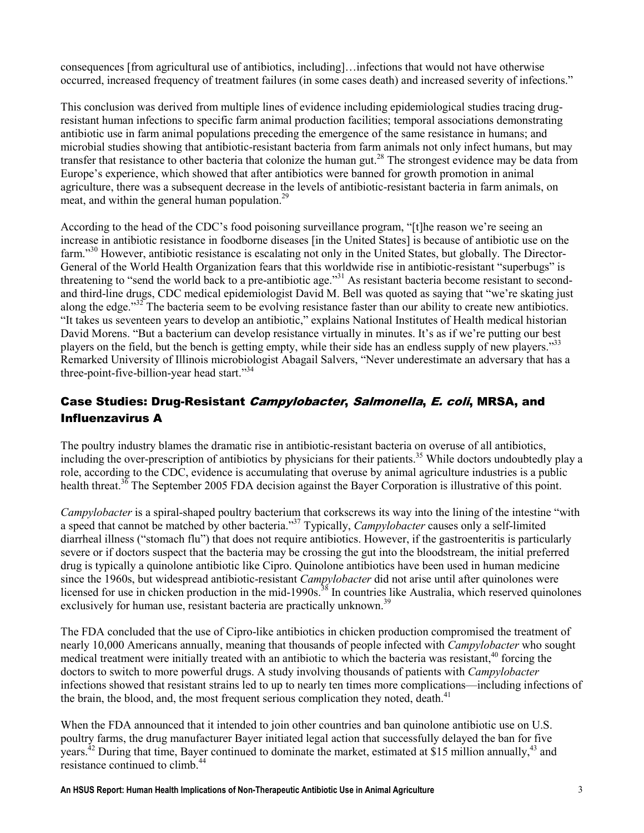consequences [from agricultural use of antibiotics, including]…infections that would not have otherwise occurred, increased frequency of treatment failures (in some cases death) and increased severity of infections."

This conclusion was derived from multiple lines of evidence including epidemiological studies tracing drugresistant human infections to specific farm animal production facilities; temporal associations demonstrating antibiotic use in farm animal populations preceding the emergence of the same resistance in humans; and microbial studies showing that antibiotic-resistant bacteria from farm animals not only infect humans, but may transfer that resistance to other bacteria that colonize the human gut.<sup>28</sup> The strongest evidence may be data from Europe's experience, which showed that after antibiotics were banned for growth promotion in animal agriculture, there was a subsequent decrease in the levels of antibiotic-resistant bacteria in farm animals, on meat, and within the general human population.<sup>29</sup>

According to the head of the CDC's food poisoning surveillance program, "[t]he reason we're seeing an increase in antibiotic resistance in foodborne diseases [in the United States] is because of antibiotic use on the farm."<sup>30</sup> However, antibiotic resistance is escalating not only in the United States, but globally. The Director-General of the World Health Organization fears that this worldwide rise in antibiotic-resistant "superbugs" is threatening to "send the world back to a pre-antibiotic age."<sup>31</sup> As resistant bacteria become resistant to secondand third-line drugs, CDC medical epidemiologist David M. Bell was quoted as saying that "we're skating just along the edge."<sup>32</sup> The bacteria seem to be evolving resistance faster than our ability to create new antibiotics. "It takes us seventeen years to develop an antibiotic," explains National Institutes of Health medical historian David Morens. "But a bacterium can develop resistance virtually in minutes. It's as if we're putting our best players on the field, but the bench is getting empty, while their side has an endless supply of new players."<sup>33</sup> Remarked University of Illinois microbiologist Abagail Salvers, "Never underestimate an adversary that has a three-point-five-billion-year head start."<sup>34</sup>

# Case Studies: Drug-Resistant Campylobacter, Salmonella, E. coli, MRSA, and Influenzavirus A

The poultry industry blames the dramatic rise in antibiotic-resistant bacteria on overuse of all antibiotics, including the over-prescription of antibiotics by physicians for their patients.<sup>35</sup> While doctors undoubtedly play a role, according to the CDC, evidence is accumulating that overuse by animal agriculture industries is a public health threat.<sup>36</sup> The September 2005 FDA decision against the Bayer Corporation is illustrative of this point.

Campylobacter is a spiral-shaped poultry bacterium that corkscrews its way into the lining of the intestine "with a speed that cannot be matched by other bacteria."<sup>37</sup> Typically, *Campylobacter* causes only a self-limited diarrheal illness ("stomach flu") that does not require antibiotics. However, if the gastroenteritis is particularly severe or if doctors suspect that the bacteria may be crossing the gut into the bloodstream, the initial preferred drug is typically a quinolone antibiotic like Cipro. Quinolone antibiotics have been used in human medicine since the 1960s, but widespread antibiotic-resistant *Campylobacter* did not arise until after quinolones were licensed for use in chicken production in the mid-1990s.<sup>38</sup> In countries like Australia, which reserved quinolones exclusively for human use, resistant bacteria are practically unknown.<sup>39</sup>

The FDA concluded that the use of Cipro-like antibiotics in chicken production compromised the treatment of nearly 10,000 Americans annually, meaning that thousands of people infected with *Campylobacter* who sought medical treatment were initially treated with an antibiotic to which the bacteria was resistant,<sup>40</sup> forcing the doctors to switch to more powerful drugs. A study involving thousands of patients with *Campylobacter* infections showed that resistant strains led to up to nearly ten times more complications—including infections of the brain, the blood, and, the most frequent serious complication they noted, death.<sup>41</sup>

When the FDA announced that it intended to join other countries and ban quinolone antibiotic use on U.S. poultry farms, the drug manufacturer Bayer initiated legal action that successfully delayed the ban for five years.<sup>42</sup> During that time, Bayer continued to dominate the market, estimated at \$15 million annually,<sup>43</sup> and resistance continued to climb.<sup>44</sup>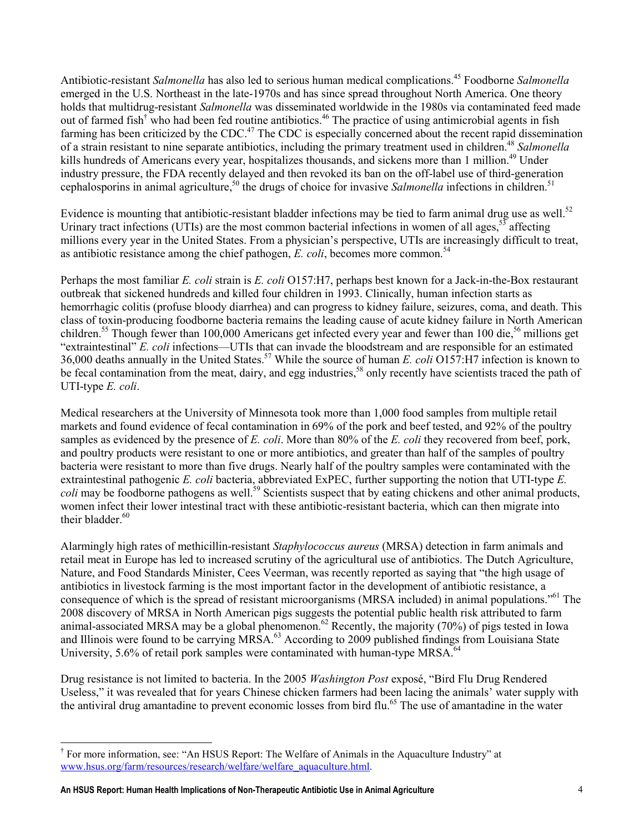Antibiotic-resistant Salmonella has also led to serious human medical complications.<sup>45</sup> Foodborne Salmonella emerged in the U.S. Northeast in the late-1970s and has since spread throughout North America. One theory holds that multidrug-resistant Salmonella was disseminated worldwide in the 1980s via contaminated feed made out of farmed fish<sup>†</sup> who had been fed routine antibiotics.<sup>46</sup> The practice of using antimicrobial agents in fish farming has been criticized by the CDC.<sup>47</sup> The CDC is especially concerned about the recent rapid dissemination of a strain resistant to nine separate antibiotics, including the primary treatment used in children.<sup>48</sup> Salmonella kills hundreds of Americans every year, hospitalizes thousands, and sickens more than 1 million.<sup>49</sup> Under industry pressure, the FDA recently delayed and then revoked its ban on the off-label use of third-generation cephalosporins in animal agriculture,<sup>50</sup> the drugs of choice for invasive Salmonella infections in children.<sup>51</sup>

Evidence is mounting that antibiotic-resistant bladder infections may be tied to farm animal drug use as well.<sup>52</sup> Urinary tract infections (UTIs) are the most common bacterial infections in women of all ages.<sup>53</sup> affecting millions every year in the United States. From a physician's perspective, UTIs are increasingly difficult to treat, as antibiotic resistance among the chief pathogen,  $E.$  coli, becomes more common.<sup>54</sup>

Perhaps the most familiar E. coli strain is E. coli O157:H7, perhaps best known for a Jack-in-the-Box restaurant outbreak that sickened hundreds and killed four children in 1993. Clinically, human infection starts as hemorrhagic colitis (profuse bloody diarrhea) and can progress to kidney failure, seizures, coma, and death. This class of toxin-producing foodborne bacteria remains the leading cause of acute kidney failure in North American children.<sup>55</sup> Though fewer than 100,000 Americans get infected every year and fewer than 100 die,<sup>56</sup> millions get "extraintestinal" E. coli infections—UTIs that can invade the bloodstream and are responsible for an estimated 36,000 deaths annually in the United States.<sup>57</sup> While the source of human E. coli O157:H7 infection is known to be fecal contamination from the meat, dairy, and egg industries,<sup>58</sup> only recently have scientists traced the path of UTI-type E. coli.

Medical researchers at the University of Minnesota took more than 1,000 food samples from multiple retail markets and found evidence of fecal contamination in 69% of the pork and beef tested, and 92% of the poultry samples as evidenced by the presence of E. coli. More than 80% of the E. coli they recovered from beef, pork, and poultry products were resistant to one or more antibiotics, and greater than half of the samples of poultry bacteria were resistant to more than five drugs. Nearly half of the poultry samples were contaminated with the extraintestinal pathogenic E. coli bacteria, abbreviated ExPEC, further supporting the notion that UTI-type E. coli may be foodborne pathogens as well.<sup>59</sup> Scientists suspect that by eating chickens and other animal products, women infect their lower intestinal tract with these antibiotic-resistant bacteria, which can then migrate into their bladder. $60$ 

Alarmingly high rates of methicillin-resistant Staphylococcus aureus (MRSA) detection in farm animals and retail meat in Europe has led to increased scrutiny of the agricultural use of antibiotics. The Dutch Agriculture, Nature, and Food Standards Minister, Cees Veerman, was recently reported as saying that "the high usage of antibiotics in livestock farming is the most important factor in the development of antibiotic resistance, a consequence of which is the spread of resistant microorganisms (MRSA included) in animal populations."<sup>61</sup> The 2008 discovery of MRSA in North American pigs suggests the potential public health risk attributed to farm animal-associated MRSA may be a global phenomenon.<sup>62</sup> Recently, the majority (70%) of pigs tested in Iowa and Illinois were found to be carrying MRSA.<sup>63</sup> According to 2009 published findings from Louisiana State University, 5.6% of retail pork samples were contaminated with human-type MRSA.<sup>64</sup>

Drug resistance is not limited to bacteria. In the 2005 *Washington Post* exposé, "Bird Flu Drug Rendered" Useless," it was revealed that for years Chinese chicken farmers had been lacing the animals' water supply with the antiviral drug amantadine to prevent economic losses from bird flu.<sup>65</sup> The use of amantadine in the water

 $\overline{a}$ † For more information, see: "An HSUS Report: The Welfare of Animals in the Aquaculture Industry" at www.hsus.org/farm/resources/research/welfare/welfare\_aquaculture.html.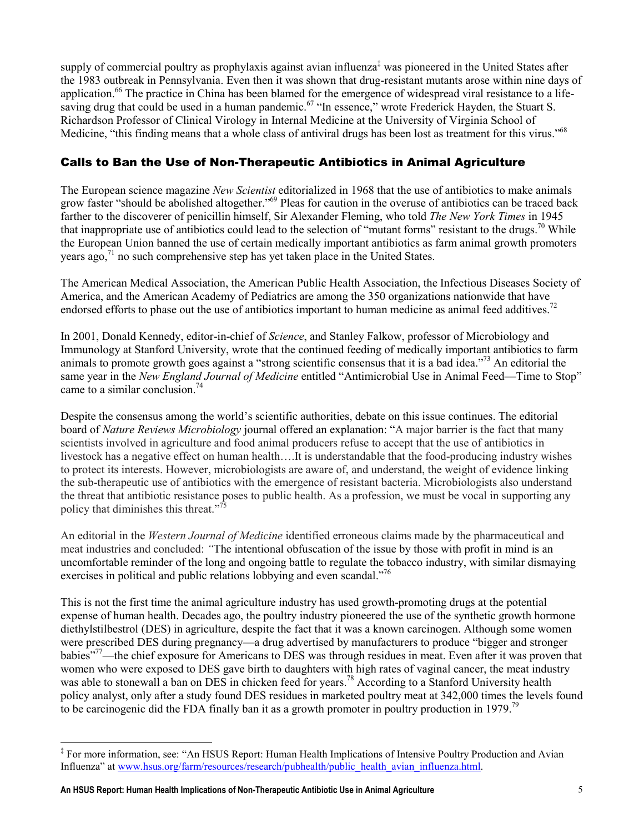supply of commercial poultry as prophylaxis against avian influenza<sup>‡</sup> was pioneered in the United States after the 1983 outbreak in Pennsylvania. Even then it was shown that drug-resistant mutants arose within nine days of application.<sup>66</sup> The practice in China has been blamed for the emergence of widespread viral resistance to a lifesaving drug that could be used in a human pandemic.<sup>67</sup> "In essence," wrote Frederick Hayden, the Stuart S. Richardson Professor of Clinical Virology in Internal Medicine at the University of Virginia School of Medicine, "this finding means that a whole class of antiviral drugs has been lost as treatment for this virus."<sup>68</sup>

## Calls to Ban the Use of Non-Therapeutic Antibiotics in Animal Agriculture

The European science magazine New Scientist editorialized in 1968 that the use of antibiotics to make animals grow faster "should be abolished altogether."<sup>69</sup> Pleas for caution in the overuse of antibiotics can be traced back farther to the discoverer of penicillin himself, Sir Alexander Fleming, who told *The New York Times* in 1945 that inappropriate use of antibiotics could lead to the selection of "mutant forms" resistant to the drugs.<sup>70</sup> While the European Union banned the use of certain medically important antibiotics as farm animal growth promoters years ago,  $^{71}$  no such comprehensive step has yet taken place in the United States.

The American Medical Association, the American Public Health Association, the Infectious Diseases Society of America, and the American Academy of Pediatrics are among the 350 organizations nationwide that have endorsed efforts to phase out the use of antibiotics important to human medicine as animal feed additives.<sup>72</sup>

In 2001, Donald Kennedy, editor-in-chief of Science, and Stanley Falkow, professor of Microbiology and Immunology at Stanford University, wrote that the continued feeding of medically important antibiotics to farm animals to promote growth goes against a "strong scientific consensus that it is a bad idea."<sup>73</sup> An editorial the same year in the New England Journal of Medicine entitled "Antimicrobial Use in Animal Feed—Time to Stop" came to a similar conclusion.<sup>74</sup>

Despite the consensus among the world's scientific authorities, debate on this issue continues. The editorial board of Nature Reviews Microbiology journal offered an explanation: "A major barrier is the fact that many scientists involved in agriculture and food animal producers refuse to accept that the use of antibiotics in livestock has a negative effect on human health….It is understandable that the food-producing industry wishes to protect its interests. However, microbiologists are aware of, and understand, the weight of evidence linking the sub-therapeutic use of antibiotics with the emergence of resistant bacteria. Microbiologists also understand the threat that antibiotic resistance poses to public health. As a profession, we must be vocal in supporting any policy that diminishes this threat."<sup>75</sup>

An editorial in the *Western Journal of Medicine* identified erroneous claims made by the pharmaceutical and meat industries and concluded: "The intentional obfuscation of the issue by those with profit in mind is an uncomfortable reminder of the long and ongoing battle to regulate the tobacco industry, with similar dismaying exercises in political and public relations lobbying and even scandal."<sup>76</sup>

This is not the first time the animal agriculture industry has used growth-promoting drugs at the potential expense of human health. Decades ago, the poultry industry pioneered the use of the synthetic growth hormone diethylstilbestrol (DES) in agriculture, despite the fact that it was a known carcinogen. Although some women were prescribed DES during pregnancy—a drug advertised by manufacturers to produce "bigger and stronger babies"<sup>77</sup>—the chief exposure for Americans to DES was through residues in meat. Even after it was proven that women who were exposed to DES gave birth to daughters with high rates of vaginal cancer, the meat industry was able to stonewall a ban on DES in chicken feed for years.<sup>78</sup> According to a Stanford University health policy analyst, only after a study found DES residues in marketed poultry meat at 342,000 times the levels found to be carcinogenic did the FDA finally ban it as a growth promoter in poultry production in 1979.<sup>79</sup>

 $\overline{a}$ 

<sup>‡</sup> For more information, see: "An HSUS Report: Human Health Implications of Intensive Poultry Production and Avian Influenza" at www.hsus.org/farm/resources/research/pubhealth/public\_health\_avian\_influenza.html.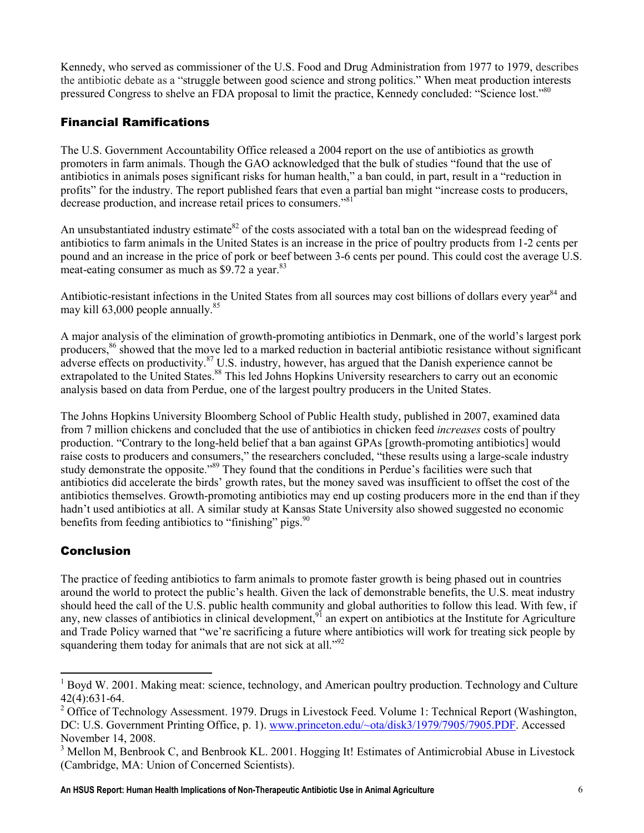Kennedy, who served as commissioner of the U.S. Food and Drug Administration from 1977 to 1979, describes the antibiotic debate as a "struggle between good science and strong politics." When meat production interests pressured Congress to shelve an FDA proposal to limit the practice, Kennedy concluded: "Science lost."<sup>80</sup>

## Financial Ramifications

The U.S. Government Accountability Office released a 2004 report on the use of antibiotics as growth promoters in farm animals. Though the GAO acknowledged that the bulk of studies "found that the use of antibiotics in animals poses significant risks for human health," a ban could, in part, result in a "reduction in profits" for the industry. The report published fears that even a partial ban might "increase costs to producers, decrease production, and increase retail prices to consumers."<sup>81</sup>

An unsubstantiated industry estimate<sup>82</sup> of the costs associated with a total ban on the widespread feeding of antibiotics to farm animals in the United States is an increase in the price of poultry products from 1-2 cents per pound and an increase in the price of pork or beef between 3-6 cents per pound. This could cost the average U.S. meat-eating consumer as much as  $$9.72$  a year.<sup>83</sup>

Antibiotic-resistant infections in the United States from all sources may cost billions of dollars every year<sup>84</sup> and may kill 63,000 people annually.<sup>85</sup>

A major analysis of the elimination of growth-promoting antibiotics in Denmark, one of the world's largest pork producers,<sup>86</sup> showed that the move led to a marked reduction in bacterial antibiotic resistance without significant adverse effects on productivity. $87$  U.S. industry, however, has argued that the Danish experience cannot be extrapolated to the United States.<sup>88</sup> This led Johns Hopkins University researchers to carry out an economic analysis based on data from Perdue, one of the largest poultry producers in the United States.

The Johns Hopkins University Bloomberg School of Public Health study, published in 2007, examined data from 7 million chickens and concluded that the use of antibiotics in chicken feed *increases* costs of poultry production. "Contrary to the long-held belief that a ban against GPAs [growth-promoting antibiotics] would raise costs to producers and consumers," the researchers concluded, "these results using a large-scale industry study demonstrate the opposite."<sup>89</sup> They found that the conditions in Perdue's facilities were such that antibiotics did accelerate the birds' growth rates, but the money saved was insufficient to offset the cost of the antibiotics themselves. Growth-promoting antibiotics may end up costing producers more in the end than if they hadn't used antibiotics at all. A similar study at Kansas State University also showed suggested no economic benefits from feeding antibiotics to "finishing" pigs.  $90$ 

# Conclusion

 $\ddot{\phantom{a}}$ 

The practice of feeding antibiotics to farm animals to promote faster growth is being phased out in countries around the world to protect the public's health. Given the lack of demonstrable benefits, the U.S. meat industry should heed the call of the U.S. public health community and global authorities to follow this lead. With few, if any, new classes of antibiotics in clinical development,  $91$  an expert on antibiotics at the Institute for Agriculture and Trade Policy warned that "we're sacrificing a future where antibiotics will work for treating sick people by squandering them today for animals that are not sick at all."<sup>92</sup>

<sup>&</sup>lt;sup>1</sup> Boyd W. 2001. Making meat: science, technology, and American poultry production. Technology and Culture 42(4):631-64.

<sup>&</sup>lt;sup>2</sup> Office of Technology Assessment. 1979. Drugs in Livestock Feed. Volume 1: Technical Report (Washington, DC: U.S. Government Printing Office, p. 1). www.princeton.edu/~ota/disk3/1979/7905/7905.PDF. Accessed November 14, 2008.

<sup>&</sup>lt;sup>3</sup> Mellon M, Benbrook C, and Benbrook KL. 2001. Hogging It! Estimates of Antimicrobial Abuse in Livestock (Cambridge, MA: Union of Concerned Scientists).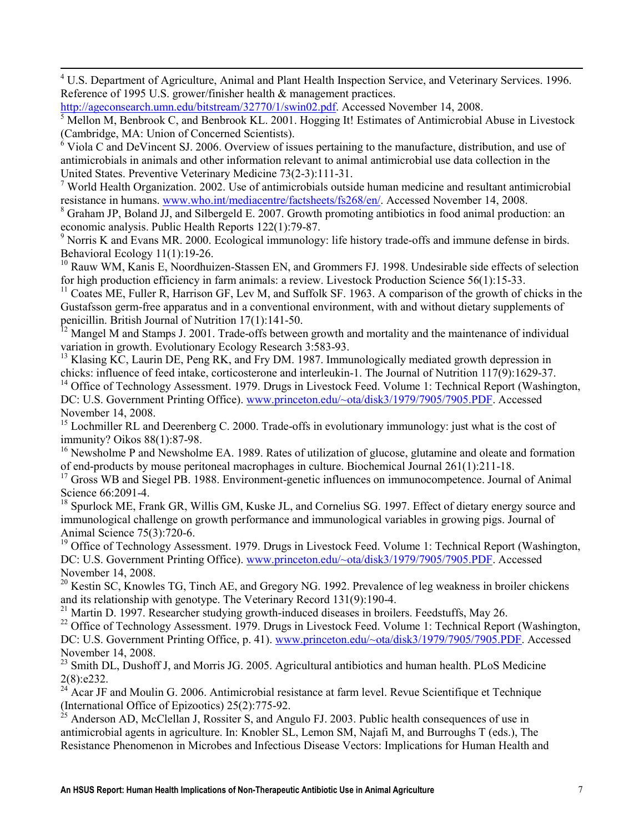<sup>4</sup> U.S. Department of Agriculture, Animal and Plant Health Inspection Service, and Veterinary Services. 1996. Reference of 1995 U.S. grower/finisher health & management practices.

http://ageconsearch.umn.edu/bitstream/32770/1/swin02.pdf. Accessed November 14, 2008.

**.** 

5 Mellon M, Benbrook C, and Benbrook KL. 2001. Hogging It! Estimates of Antimicrobial Abuse in Livestock (Cambridge, MA: Union of Concerned Scientists).

<sup>6</sup> Viola C and DeVincent SJ. 2006. Overview of issues pertaining to the manufacture, distribution, and use of antimicrobials in animals and other information relevant to animal antimicrobial use data collection in the United States. Preventive Veterinary Medicine 73(2-3):111-31.

<sup>7</sup> World Health Organization. 2002. Use of antimicrobials outside human medicine and resultant antimicrobial resistance in humans. www.who.int/mediacentre/factsheets/fs268/en/. Accessed November 14, 2008.

<sup>8</sup> Graham JP, Boland JJ, and Silbergeld E. 2007. Growth promoting antibiotics in food animal production: an economic analysis. Public Health Reports 122(1):79-87.

<sup>9</sup> Norris K and Evans MR. 2000. Ecological immunology: life history trade-offs and immune defense in birds. Behavioral Ecology 11(1):19-26.

<sup>10</sup> Rauw WM, Kanis E, Noordhuizen-Stassen EN, and Grommers FJ. 1998. Undesirable side effects of selection for high production efficiency in farm animals: a review. Livestock Production Science 56(1):15-33.

 $11$  Coates ME, Fuller R, Harrison GF, Lev M, and Suffolk SF. 1963. A comparison of the growth of chicks in the Gustafsson germ-free apparatus and in a conventional environment, with and without dietary supplements of penicillin. British Journal of Nutrition 17(1):141-50.

 $12$  Mangel M and Stamps J. 2001. Trade-offs between growth and mortality and the maintenance of individual variation in growth. Evolutionary Ecology Research 3:583-93.

<sup>13</sup> Klasing KC, Laurin DE, Peng RK, and Fry DM. 1987. Immunologically mediated growth depression in chicks: influence of feed intake, corticosterone and interleukin-1. The Journal of Nutrition 117(9):1629-37.

<sup>14</sup> Office of Technology Assessment. 1979. Drugs in Livestock Feed. Volume 1: Technical Report (Washington, DC: U.S. Government Printing Office). www.princeton.edu/~ota/disk3/1979/7905/7905.PDF. Accessed November 14, 2008.

<sup>15</sup> Lochmiller RL and Deerenberg C. 2000. Trade-offs in evolutionary immunology: just what is the cost of immunity? Oikos 88(1):87-98.

<sup>16</sup> Newsholme P and Newsholme EA. 1989. Rates of utilization of glucose, glutamine and oleate and formation of end-products by mouse peritoneal macrophages in culture. Biochemical Journal 261(1):211-18.

<sup>17</sup> Gross WB and Siegel PB. 1988. Environment-genetic influences on immunocompetence. Journal of Animal Science 66:2091-4.

<sup>18</sup> Spurlock ME, Frank GR, Willis GM, Kuske JL, and Cornelius SG. 1997. Effect of dietary energy source and immunological challenge on growth performance and immunological variables in growing pigs. Journal of Animal Science 75(3):720-6.

<sup>19</sup> Office of Technology Assessment. 1979. Drugs in Livestock Feed. Volume 1: Technical Report (Washington, DC: U.S. Government Printing Office). www.princeton.edu/~ota/disk3/1979/7905/7905.PDF. Accessed November 14, 2008.

 $^{20}$  Kestin SC, Knowles TG, Tinch AE, and Gregory NG. 1992. Prevalence of leg weakness in broiler chickens and its relationship with genotype. The Veterinary Record 131(9):190-4.

 $21$  Martin D. 1997. Researcher studying growth-induced diseases in broilers. Feedstuffs, May 26.

<sup>22</sup> Office of Technology Assessment. 1979. Drugs in Livestock Feed. Volume 1: Technical Report (Washington, DC: U.S. Government Printing Office, p. 41). www.princeton.edu/~ota/disk3/1979/7905/7905.PDF. Accessed November 14, 2008.

 $^{23}$  Smith DL, Dushoff J, and Morris JG. 2005. Agricultural antibiotics and human health. PLoS Medicine 2(8):e232.

<sup>24</sup> Acar JF and Moulin G. 2006. Antimicrobial resistance at farm level. Revue Scientifique et Technique (International Office of Epizootics) 25(2):775-92.

 $^{25}$  Anderson AD, McClellan J, Rossiter S, and Angulo FJ. 2003. Public health consequences of use in antimicrobial agents in agriculture. In: Knobler SL, Lemon SM, Najafi M, and Burroughs T (eds.), The Resistance Phenomenon in Microbes and Infectious Disease Vectors: Implications for Human Health and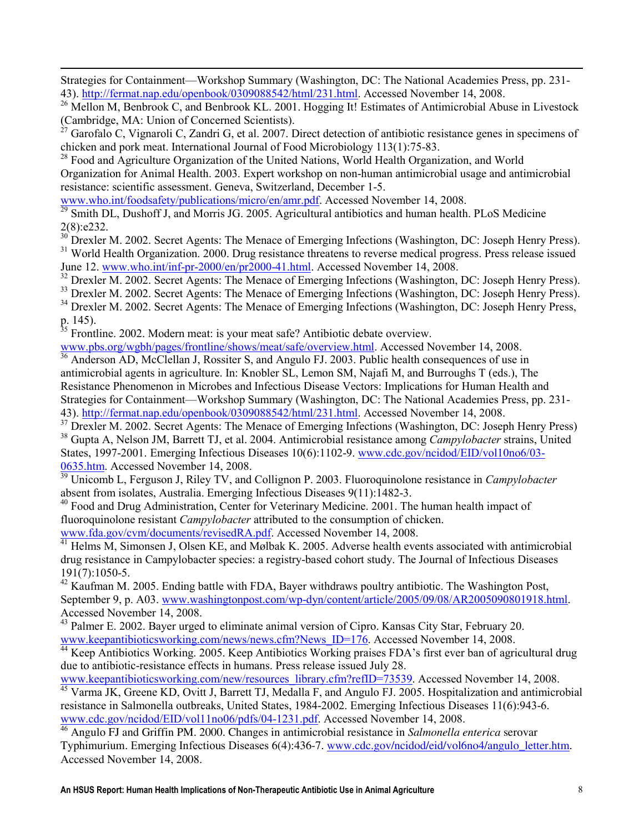Strategies for Containment—Workshop Summary (Washington, DC: The National Academies Press, pp. 231- 43). http://fermat.nap.edu/openbook/0309088542/html/231.html. Accessed November 14, 2008.

<sup>26</sup> Mellon M, Benbrook C, and Benbrook KL. 2001. Hogging It! Estimates of Antimicrobial Abuse in Livestock (Cambridge, MA: Union of Concerned Scientists).

 $^{27}$  Garofalo C, Vignaroli C, Zandri G, et al. 2007. Direct detection of antibiotic resistance genes in specimens of chicken and pork meat. International Journal of Food Microbiology 113(1):75-83.

<sup>28</sup> Food and Agriculture Organization of the United Nations, World Health Organization, and World Organization for Animal Health. 2003. Expert workshop on non-human antimicrobial usage and antimicrobial resistance: scientific assessment. Geneva, Switzerland, December 1-5.

www.who.int/foodsafety/publications/micro/en/amr.pdf. Accessed November 14, 2008.

**.** 

 $\frac{29}{29}$  Smith DL, Dushoff J, and Morris JG. 2005. Agricultural antibiotics and human health. PLoS Medicine 2(8):e232.

<sup>30</sup> Drexler M. 2002. Secret Agents: The Menace of Emerging Infections (Washington, DC: Joseph Henry Press). <sup>31</sup> World Health Organization. 2000. Drug resistance threatens to reverse medical progress. Press release issued June 12. www.who.int/inf-pr-2000/en/pr2000-41.html. Accessed November 14, 2008.

<sup>32</sup> Drexler M. 2002. Secret Agents: The Menace of Emerging Infections (Washington, DC: Joseph Henry Press).

<sup>33</sup> Drexler M. 2002. Secret Agents: The Menace of Emerging Infections (Washington, DC: Joseph Henry Press).

<sup>34</sup> Drexler M. 2002. Secret Agents: The Menace of Emerging Infections (Washington, DC: Joseph Henry Press, p. 145).

<sup>35</sup> Frontline. 2002. Modern meat: is your meat safe? Antibiotic debate overview.

www.pbs.org/wgbh/pages/frontline/shows/meat/safe/overview.html. Accessed November 14, 2008. <sup>36</sup> Anderson AD, McClellan J, Rossiter S, and Angulo FJ. 2003. Public health consequences of use in

antimicrobial agents in agriculture. In: Knobler SL, Lemon SM, Najafi M, and Burroughs T (eds.), The Resistance Phenomenon in Microbes and Infectious Disease Vectors: Implications for Human Health and Strategies for Containment—Workshop Summary (Washington, DC: The National Academies Press, pp. 231- 43). http://fermat.nap.edu/openbook/0309088542/html/231.html. Accessed November 14, 2008.

<sup>37</sup> Drexler M. 2002. Secret Agents: The Menace of Emerging Infections (Washington, DC: Joseph Henry Press) <sup>38</sup> Gupta A, Nelson JM, Barrett TJ, et al. 2004. Antimicrobial resistance among *Campylobacter* strains, United States, 1997-2001. Emerging Infectious Diseases 10(6):1102-9. www.cdc.gov/ncidod/EID/vol10no6/03- 0635.htm. Accessed November 14, 2008.

 $\frac{39}{39}$  Unicomb L, Ferguson J, Riley TV, and Collignon P. 2003. Fluoroquinolone resistance in *Campylobacter* absent from isolates, Australia. Emerging Infectious Diseases 9(11):1482-3.

<sup>40</sup> Food and Drug Administration, Center for Veterinary Medicine. 2001. The human health impact of fluoroquinolone resistant *Campylobacter* attributed to the consumption of chicken. www.fda.gov/cvm/documents/revisedRA.pdf. Accessed November 14, 2008.

 $\frac{41}{41}$  Helms M, Simonsen J, Olsen KE, and Mølbak K. 2005. Adverse health events associated with antimicrobial drug resistance in Campylobacter species: a registry-based cohort study. The Journal of Infectious Diseases 191(7):1050-5.

<sup>42</sup> Kaufman M. 2005. Ending battle with FDA, Bayer withdraws poultry antibiotic. The Washington Post, September 9, p. A03. www.washingtonpost.com/wp-dyn/content/article/2005/09/08/AR2005090801918.html. Accessed November 14, 2008.

<sup>43</sup> Palmer E. 2002. Bayer urged to eliminate animal version of Cipro. Kansas City Star, February 20. www.keepantibioticsworking.com/news/news.cfm?News\_ID=176. Accessed November 14, 2008.

<sup>44</sup> Keep Antibiotics Working. 2005. Keep Antibiotics Working praises FDA's first ever ban of agricultural drug due to antibiotic-resistance effects in humans. Press release issued July 28.

www.keepantibioticsworking.com/new/resources\_library.cfm?refID=73539. Accessed November 14, 2008.

<sup>45</sup> Varma JK, Greene KD, Ovitt J, Barrett TJ, Medalla F, and Angulo FJ. 2005. Hospitalization and antimicrobial resistance in Salmonella outbreaks, United States, 1984-2002. Emerging Infectious Diseases 11(6):943-6. www.cdc.gov/ncidod/EID/vol11no06/pdfs/04-1231.pdf. Accessed November 14, 2008.

 $^{46}$  Angulo FJ and Griffin PM. 2000. Changes in antimicrobial resistance in Salmonella enterica serovar Typhimurium. Emerging Infectious Diseases 6(4):436-7. www.cdc.gov/ncidod/eid/vol6no4/angulo\_letter.htm. Accessed November 14, 2008.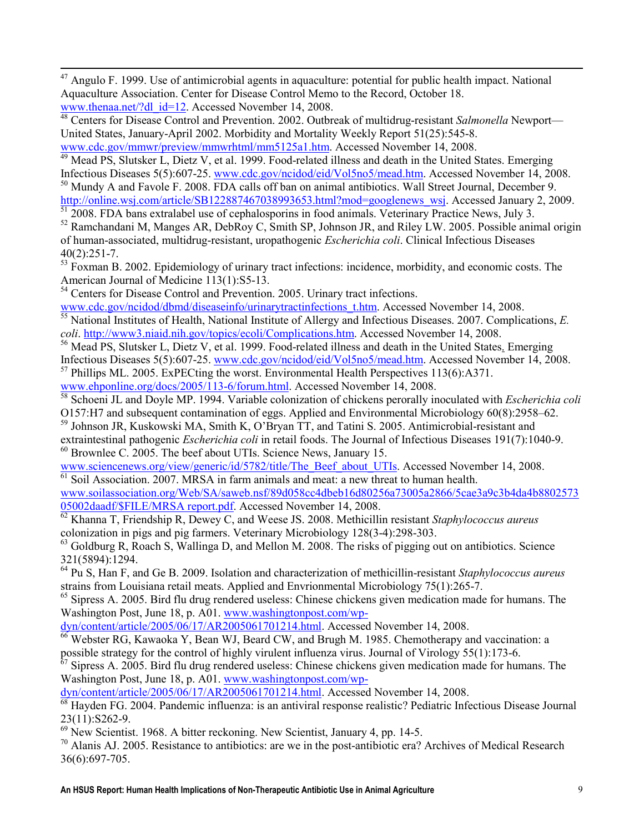$47$  Angulo F. 1999. Use of antimicrobial agents in aquaculture: potential for public health impact. National Aquaculture Association. Center for Disease Control Memo to the Record, October 18. www.thenaa.net/?dl\_id=12. Accessed November 14, 2008.

<sup>48</sup> Centers for Disease Control and Prevention. 2002. Outbreak of multidrug-resistant Salmonella Newport— United States, January-April 2002. Morbidity and Mortality Weekly Report 51(25):545-8. www.cdc.gov/mmwr/preview/mmwrhtml/mm5125a1.htm. Accessed November 14, 2008.

<sup>49</sup> Mead PS, Slutsker L, Dietz V, et al. 1999. Food-related illness and death in the United States. Emerging Infectious Diseases 5(5):607-25. www.cdc.gov/ncidod/eid/Vol5no5/mead.htm. Accessed November 14, 2008.

<sup>50</sup> Mundy A and Favole F. 2008. FDA calls off ban on animal antibiotics. Wall Street Journal, December 9. http://online.wsj.com/article/SB122887467038993653.html?mod=googlenews\_wsj. Accessed January 2, 2009.

 $\frac{51}{51}$  2008. FDA bans extralabel use of cephalosporins in food animals. Veterinary Practice News, July 3.

<sup>52</sup> Ramchandani M, Manges AR, DebRoy C, Smith SP, Johnson JR, and Riley LW. 2005. Possible animal origin of human-associated, multidrug-resistant, uropathogenic Escherichia coli. Clinical Infectious Diseases 40(2):251-7.

<sup>53</sup> Foxman B. 2002. Epidemiology of urinary tract infections: incidence, morbidity, and economic costs. The American Journal of Medicine 113(1):S5-13.

<sup>54</sup> Centers for Disease Control and Prevention. 2005. Urinary tract infections.

**.** 

www.cdc.gov/ncidod/dbmd/diseaseinfo/urinarytractinfections\_t.htm. Accessed November 14, 2008.

<sup>55</sup> National Institutes of Health, National Institute of Allergy and Infectious Diseases. 2007. Complications, E. coli. http://www3.niaid.nih.gov/topics/ecoli/Complications.htm. Accessed November 14, 2008.

<sup>56</sup> Mead PS, Slutsker L, Dietz V, et al. 1999. Food-related illness and death in the United States. Emerging Infectious Diseases 5(5):607-25. www.cdc.gov/ncidod/eid/Vol5no5/mead.htm. Accessed November 14, 2008.

 $57$  Phillips ML. 2005. ExPECting the worst. Environmental Health Perspectives 113(6):A371.

www.ehponline.org/docs/2005/113-6/forum.html. Accessed November 14, 2008.

<sup>58</sup> Schoeni JL and Doyle MP. 1994. Variable colonization of chickens perorally inoculated with *Escherichia coli* O157:H7 and subsequent contamination of eggs. Applied and Environmental Microbiology 60(8):2958–62.

<sup>59</sup> Johnson JR, Kuskowski MA, Smith K, O'Bryan TT, and Tatini S. 2005. Antimicrobial-resistant and extraintestinal pathogenic Escherichia coli in retail foods. The Journal of Infectious Diseases 191(7):1040-9.  $60$  Brownlee C. 2005. The beef about UTIs. Science News, January 15.

www.sciencenews.org/view/generic/id/5782/title/The\_Beef\_about\_UTIs. Accessed November 14, 2008.  $\overline{61}$  Soil Association. 2007. MRSA in farm animals and meat: a new threat to human health.

www.soilassociation.org/Web/SA/saweb.nsf/89d058cc4dbeb16d80256a73005a2866/5cae3a9c3b4da4b8802573 05002daadf/\$FILE/MRSA report.pdf. Accessed November 14, 2008.

 $\overline{62}$  Khanna T, Friendship R, Dewey C, and Weese JS. 2008. Methicillin resistant Staphylococcus aureus colonization in pigs and pig farmers. Veterinary Microbiology 128(3-4):298-303.

 $63$  Goldburg R, Roach S, Wallinga D, and Mellon M. 2008. The risks of pigging out on antibiotics. Science 321(5894):1294.

 $64$  Pu S, Han F, and Ge B. 2009. Isolation and characterization of methicillin-resistant Staphylococcus aureus strains from Louisiana retail meats. Applied and Envrionmental Microbiology 75(1):265-7.

<sup>65</sup> Sipress A. 2005. Bird flu drug rendered useless: Chinese chickens given medication made for humans. The Washington Post, June 18, p. A01. www.washingtonpost.com/wp-

dyn/content/article/2005/06/17/AR2005061701214.html. Accessed November 14, 2008.

<sup>66</sup> Webster RG, Kawaoka Y, Bean WJ, Beard CW, and Brugh M. 1985. Chemotherapy and vaccination: a possible strategy for the control of highly virulent influenza virus. Journal of Virology 55(1):173-6.

 $67$  Sipress A. 2005. Bird flu drug rendered useless: Chinese chickens given medication made for humans. The Washington Post, June 18, p. A01. www.washingtonpost.com/wp-

dyn/content/article/2005/06/17/AR2005061701214.html. Accessed November 14, 2008.

 $\overline{68}$  Hayden FG. 2004. Pandemic influenza: is an antiviral response realistic? Pediatric Infectious Disease Journal 23(11):S262-9.

 $69$  New Scientist. 1968. A bitter reckoning. New Scientist, January 4, pp. 14-5.

<sup>70</sup> Alanis AJ. 2005. Resistance to antibiotics: are we in the post-antibiotic era? Archives of Medical Research 36(6):697-705.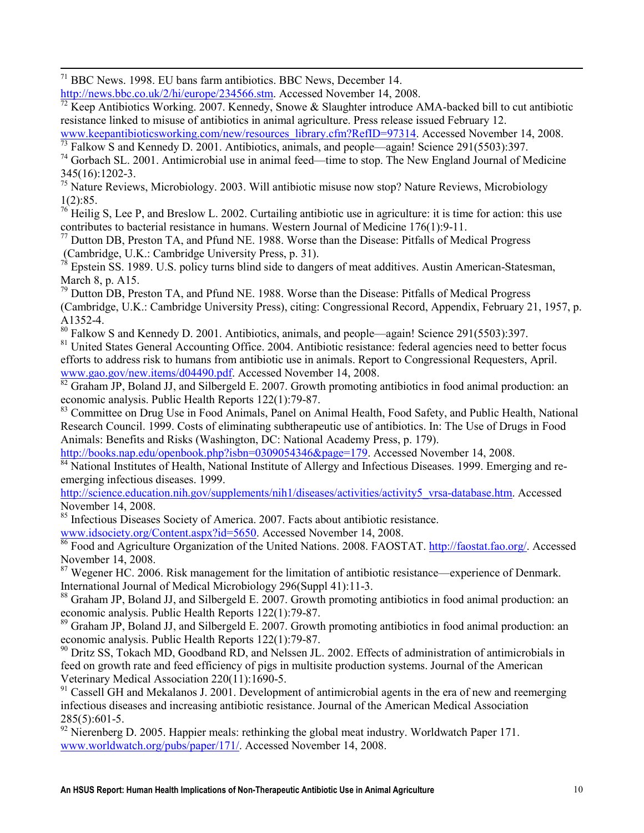$71$  BBC News. 1998. EU bans farm antibiotics. BBC News, December 14.

**.** 

http://news.bbc.co.uk/2/hi/europe/234566.stm. Accessed November 14, 2008.

<sup>72</sup> Keep Antibiotics Working. 2007. Kennedy, Snowe & Slaughter introduce AMA-backed bill to cut antibiotic resistance linked to misuse of antibiotics in animal agriculture. Press release issued February 12.

www.keepantibioticsworking.com/new/resources\_library.cfm?RefID=97314. Accessed November 14, 2008. <sup>73</sup> Falkow S and Kennedy D. 2001. Antibiotics, animals, and people—again! Science 291(5503):397.

<sup>74</sup> Gorbach SL. 2001. Antimicrobial use in animal feed—time to stop. The New England Journal of Medicine 345(16):1202-3.

<sup>75</sup> Nature Reviews, Microbiology. 2003. Will antibiotic misuse now stop? Nature Reviews, Microbiology 1(2):85.

<sup>76</sup> Heilig S, Lee P, and Breslow L. 2002. Curtailing antibiotic use in agriculture: it is time for action: this use contributes to bacterial resistance in humans. Western Journal of Medicine 176(1):9-11.

 $^{77}$  Dutton DB, Preston TA, and Pfund NE. 1988. Worse than the Disease: Pitfalls of Medical Progress (Cambridge, U.K.: Cambridge University Press, p. 31).

 $78$  Epstein SS. 1989. U.S. policy turns blind side to dangers of meat additives. Austin American-Statesman, March 8, p. A15.

 $79$  Dutton DB, Preston TA, and Pfund NE. 1988. Worse than the Disease: Pitfalls of Medical Progress (Cambridge, U.K.: Cambridge University Press), citing: Congressional Record, Appendix, February 21, 1957, p. A1352-4.

<sup>80</sup> Falkow S and Kennedy D. 2001. Antibiotics, animals, and people—again! Science 291(5503):397.

<sup>81</sup> United States General Accounting Office. 2004. Antibiotic resistance: federal agencies need to better focus efforts to address risk to humans from antibiotic use in animals. Report to Congressional Requesters, April. www.gao.gov/new.items/d04490.pdf. Accessed November 14, 2008.

<sup>82</sup> Graham JP, Boland JJ, and Silbergeld E. 2007. Growth promoting antibiotics in food animal production: an economic analysis. Public Health Reports 122(1):79-87.

<sup>83</sup> Committee on Drug Use in Food Animals, Panel on Animal Health, Food Safety, and Public Health, National Research Council. 1999. Costs of eliminating subtherapeutic use of antibiotics. In: The Use of Drugs in Food Animals: Benefits and Risks (Washington, DC: National Academy Press, p. 179).

http://books.nap.edu/openbook.php?isbn=0309054346&page=179. Accessed November 14, 2008.

<sup>84</sup> National Institutes of Health, National Institute of Allergy and Infectious Diseases. 1999. Emerging and reemerging infectious diseases. 1999.

http://science.education.nih.gov/supplements/nih1/diseases/activities/activity5\_vrsa-database.htm. Accessed November 14, 2008.

<sup>85</sup> Infectious Diseases Society of America. 2007. Facts about antibiotic resistance.

www.idsociety.org/Content.aspx?id=5650. Accessed November 14, 2008.

<sup>86</sup> Food and Agriculture Organization of the United Nations. 2008. FAOSTAT. http://faostat.fao.org/. Accessed November 14, 2008.

<sup>87</sup> Wegener HC. 2006. Risk management for the limitation of antibiotic resistance—experience of Denmark. International Journal of Medical Microbiology 296(Suppl 41):11-3.

<sup>88</sup> Graham JP, Boland JJ, and Silbergeld E. 2007. Growth promoting antibiotics in food animal production: an economic analysis. Public Health Reports 122(1):79-87.

<sup>89</sup> Graham JP, Boland JJ, and Silbergeld E. 2007. Growth promoting antibiotics in food animal production: an economic analysis. Public Health Reports 122(1):79-87.

<sup>90</sup> Dritz SS, Tokach MD, Goodband RD, and Nelssen JL. 2002. Effects of administration of antimicrobials in feed on growth rate and feed efficiency of pigs in multisite production systems. Journal of the American Veterinary Medical Association 220(11):1690-5.

 $91$  Cassell GH and Mekalanos J. 2001. Development of antimicrobial agents in the era of new and reemerging infectious diseases and increasing antibiotic resistance. Journal of the American Medical Association  $285(5):601-5$ .

 $^{92}$  Nierenberg D. 2005. Happier meals: rethinking the global meat industry. Worldwatch Paper 171. www.worldwatch.org/pubs/paper/171/. Accessed November 14, 2008.